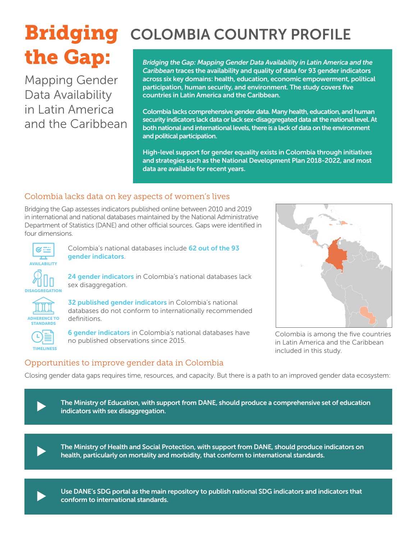# the Gap:

Mapping Gender Data Availability in Latin America and the Caribbean

## **Bridging** COLOMBIA COUNTRY PROFILE

*Bridging the Gap: Mapping Gender Data Availability in Latin America and the Caribbean* traces the availability and quality of data for 93 gender indicators across six key domains: health, education, economic empowerment, political participation, human security, and environment. The study covers five countries in Latin America and the Caribbean.

Colombia lacks comprehensive gender data. Many health, education, and human security indicators lack data or lack sex-disaggregated data at the national level. At both national and international levels, there is a lack of data on the environment and political participation.

High-level support for gender equality exists in Colombia through initiatives and strategies such as the National Development Plan 2018-2022, and most data are available for recent years.

#### Colombia lacks data on key aspects of women's lives

Bridging the Gap assesses indicators published online between 2010 and 2019 in international and national databases maintained by the National Administrative Department of Statistics (DANE) and other official sources. Gaps were identified in four dimensions.



Colombia's national databases include 62 out of the 93 gender indicators.

**DISAGGREGATION** 

24 gender indicators in Colombia's national databases lack sex disaggregation.



32 published gender indicators in Colombia's national databases do not conform to internationally recommended definitions.



6 gender indicators in Colombia's national databases have no published observations since 2015.



Colombia is among the five countries in Latin America and the Caribbean included in this study.

#### Opportunities to improve gender data in Colombia

Closing gender data gaps requires time, resources, and capacity. But there is a path to an improved gender data ecosystem:



 $\blacktriangleright$ 

The Ministry of Health and Social Protection, with support from DANE, should produce indicators on health, particularly on mortality and morbidity, that conform to international standards.



Use DANE's SDG portal as the main repository to publish national SDG indicators and indicators that conform to international standards.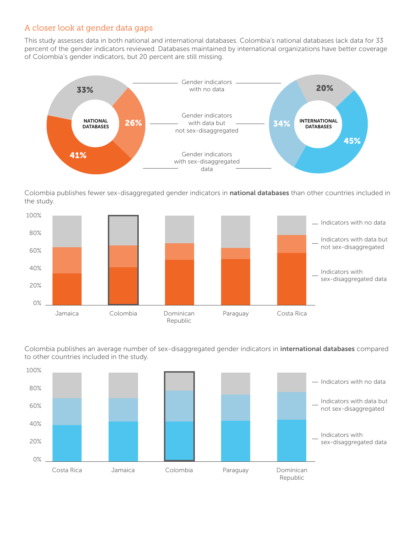#### A closer look at gender data gaps

This study assesses data in both national and international databases. Colombia's national databases lack data for 33 percent of the gender indicators reviewed. Databases maintained by international organizations have better coverage of Colombia's gender indicators, but 20 percent are still missing.



Colombia publishes fewer sex-disaggregated gender indicators in national databases than other countries included in the study.



100% to other countries included in the study. Colombia publishes an average number of sex-disaggregated gender indicators in international databases compared

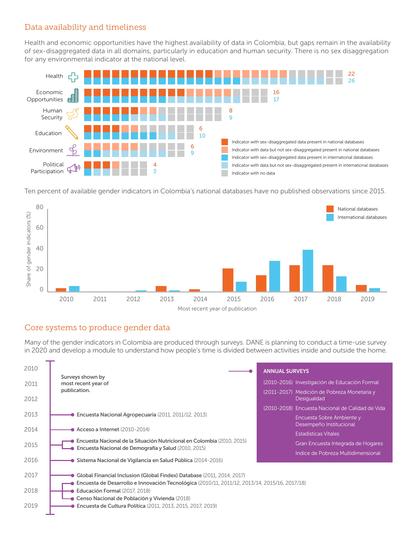#### Data availability and timeliness

Health and economic opportunities have the highest availability of data in Colombia, but gaps remain in the availability of sex-disaggregated data in all domains, particularly in education and human security. There is no sex disaggregation for any environmental indicator at the national level.



Ten percent of available gender indicators in Colombia's national databases have no published observations since 2015.



#### Core systems to produce gender data

Many of the gender indicators in Colombia are produced through surveys. DANE is planning to conduct a time-use survey in 2020 and develop a module to understand how people's time is divided between activities inside and outside the home.